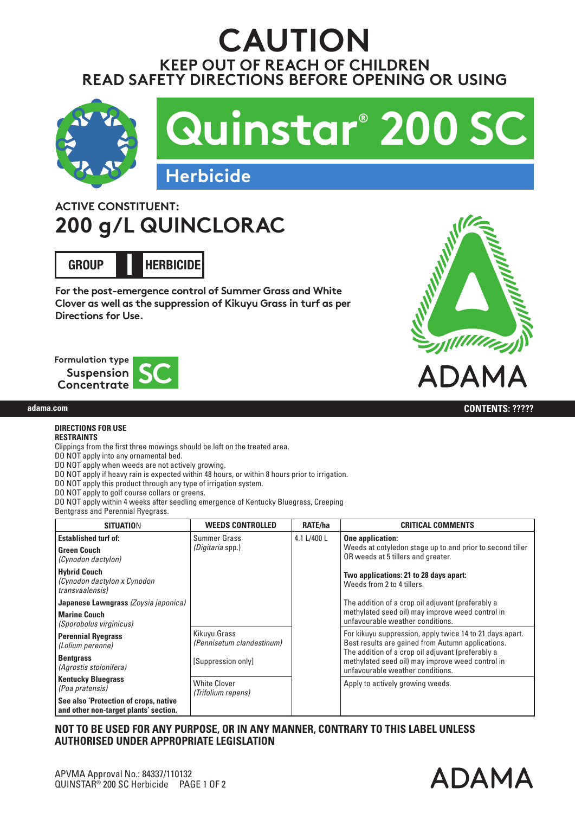# **KEEP OUT OF REACH OF CHILDREN READ SAFETY DIRECTIONS BEFORE OPENING OR USING CAUTION**



## **ACTIVE CONSTITUENT: 200 g/L QUINCLORAC**

**GROUP HERBICIDE I**

**For the post-emergence control of Summer Grass and White Clover as well as the suppression of Kikuyu Grass in turf as per Directions for Use.**







**adama.comadama.com CONTENTS: 1 L, 5 L, 10 L, 20 L, 110 L, 200 L CONTENTS: ?????**

#### **DIRECTIONS FOR USE RESTRAINTS**

Clippings from the first three mowings should be left on the treated area.

DO NOT apply into any ornamental bed.

DO NOT apply when weeds are not actively growing.

DO NOT apply if heavy rain is expected within 48 hours, or within 8 hours prior to irrigation.

DO NOT apply this product through any type of irrigation system.

DO NOT apply to golf course collars or greens.

DO NOT apply within 4 weeks after seedling emergence of Kentucky Bluegrass, Creeping

Bentgrass and Perennial Ryegrass.

| <b>SITUATION</b>                                                               | <b>WEEDS CONTROLLED</b>                   | <b>RATE/ha</b> | <b>CRITICAL COMMENTS</b>                                                                                                                  |
|--------------------------------------------------------------------------------|-------------------------------------------|----------------|-------------------------------------------------------------------------------------------------------------------------------------------|
| <b>Established turf of:</b><br><b>Green Couch</b><br>(Cynodon dactylon)        | Summer Grass<br><i>(Digitaria spp.)</i>   | 4.1 L/400 L    | One application:<br>Weeds at cotyledon stage up to and prior to second tiller<br>OR weeds at 5 tillers and greater.                       |
| Hybrid Couch<br>(Cynodon dactylon x Cynodon<br>transvaalensis)                 |                                           |                | Two applications: 21 to 28 days apart:<br>Weeds from 2 to 4 tillers.                                                                      |
| Japanese Lawngrass (Zoysia japonica)                                           |                                           |                | The addition of a crop oil adjuvant (preferably a                                                                                         |
| <b>Marine Couch</b><br>(Sporobolus virginicus)                                 |                                           |                | methylated seed oil) may improve weed control in<br>unfavourable weather conditions.                                                      |
| <b>Perennial Ryegrass</b><br>(Lolium perenne)                                  | Kikuyu Grass<br>(Pennisetum clandestinum) |                | For kikuyu suppression, apply twice 14 to 21 days apart.<br>Best results are gained from Autumn applications.                             |
| <b>Bentgrass</b><br>(Agrostis stolonifera)                                     | [Suppression only]                        |                | The addition of a crop oil adjuvant (preferably a<br>methylated seed oil) may improve weed control in<br>unfavourable weather conditions. |
| <b>Kentucky Bluegrass</b><br>(Poa pratensis)                                   | <b>White Clover</b><br>(Trifolium repens) |                | Apply to actively growing weeds.                                                                                                          |
| See also 'Protection of crops, native<br>and other non-target plants' section. |                                           |                |                                                                                                                                           |

### **NOT TO BE USED FOR ANY PURPOSE, OR IN ANY MANNER, CONTRARY TO THIS LABEL UNLESS AUTHORISED UNDER APPROPRIATE LEGISLATION**